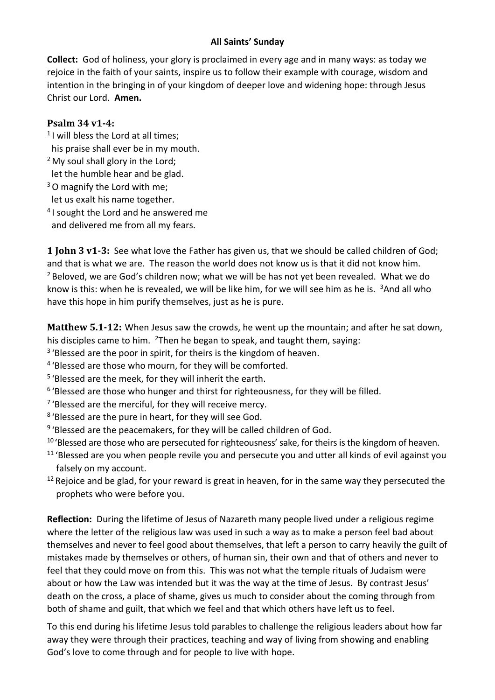## **All Saints' Sunday**

**Collect:** God of holiness, your glory is proclaimed in every age and in many ways: as today we rejoice in the faith of your saints, inspire us to follow their example with courage, wisdom and intention in the bringing in of your kingdom of deeper love and widening hope: through Jesus Christ our Lord. **Amen.**

## **Psalm 34 v1-4:**

- <sup>1</sup> I will bless the Lord at all times; his praise shall ever be in my mouth.
- $<sup>2</sup>$  My soul shall glory in the Lord;</sup> let the humble hear and be glad.
- <sup>3</sup>O magnify the Lord with me; let us exalt his name together.
- <sup>4</sup> I sought the Lord and he answered me and delivered me from all my fears.

**1 John 3 v1-3:** See what love the Father has given us, that we should be called children of God; and that is what we are. The reason the world does not know us is that it did not know him. <sup>2</sup> Beloved, we are God's children now; what we will be has not yet been revealed. What we do know is this: when he is revealed, we will be like him, for we will see him as he is. <sup>3</sup>And all who have this hope in him purify themselves, just as he is pure.

**Matthew 5.1-12:** When Jesus saw the crowds, he went up the mountain; and after he sat down, his disciples came to him. <sup>2</sup>Then he began to speak, and taught them, saying:

- <sup>3</sup> 'Blessed are the poor in spirit, for theirs is the kingdom of heaven.
- <sup>4</sup> 'Blessed are those who mourn, for they will be comforted.
- <sup>5</sup> 'Blessed are the meek, for they will inherit the earth.
- <sup>6</sup> 'Blessed are those who hunger and thirst for righteousness, for they will be filled.
- <sup>7</sup> 'Blessed are the merciful, for they will receive mercy.
- <sup>8</sup> 'Blessed are the pure in heart, for they will see God.
- <sup>9</sup> 'Blessed are the peacemakers, for they will be called children of God.
- $10$  'Blessed are those who are persecuted for righteousness' sake, for theirs is the kingdom of heaven.
- <sup>11</sup> 'Blessed are you when people revile you and persecute you and utter all kinds of evil against you falsely on my account.
- $12$  Rejoice and be glad, for your reward is great in heaven, for in the same way they persecuted the prophets who were before you.

**Reflection:** During the lifetime of Jesus of Nazareth many people lived under a religious regime where the letter of the religious law was used in such a way as to make a person feel bad about themselves and never to feel good about themselves, that left a person to carry heavily the guilt of mistakes made by themselves or others, of human sin, their own and that of others and never to feel that they could move on from this. This was not what the temple rituals of Judaism were about or how the Law was intended but it was the way at the time of Jesus. By contrast Jesus' death on the cross, a place of shame, gives us much to consider about the coming through from both of shame and guilt, that which we feel and that which others have left us to feel.

To this end during his lifetime Jesus told parables to challenge the religious leaders about how far away they were through their practices, teaching and way of living from showing and enabling God's love to come through and for people to live with hope.